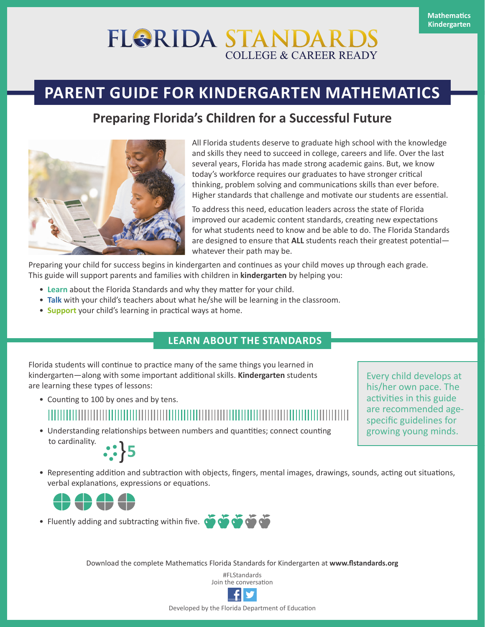# **FLORIDA STANDAR COLLEGE & CAREER READY**

## **PARENT GUIDE FOR KINDERGARTEN MATHEMATICS**

### **Preparing Florida's Children for a Successful Future**



All Florida students deserve to graduate high school with the knowledge and skills they need to succeed in college, careers and life. Over the last several years, Florida has made strong academic gains. But, we know today's workforce requires our graduates to have stronger critical thinking, problem solving and communications skills than ever before. Higher standards that challenge and motivate our students are essential.

To address this need, education leaders across the state of Florida improved our academic content standards, creating new expectations for what students need to know and be able to do. The Florida Standards are designed to ensure that **ALL** students reach their greatest potential whatever their path may be.

Preparing your child for success begins in kindergarten and continues as your child moves up through each grade. This guide will support parents and families with children in **kindergarten** by helping you:

- **Learn** about the Florida Standards and why they matter for your child.
- **Talk** with your child's teachers about what he/she will be learning in the classroom.
- **Support** your child's learning in practical ways at home.

#### **LEARN ABOUT THE STANDARDS**

Florida students will continue to practice many of the same things you learned in kindergarten—along with some important additional skills. **Kindergarten** students are learning these types of lessons:

• Counting to 100 by ones and by tens.

• Understanding relationships between numbers and quantities; connect counting to cardinality.

Every child develops at his/her own pace. The activities in this guide are recommended agespecific guidelines for growing young minds.

- $: \}$ 5
- Representing addition and subtraction with objects, fingers, mental images, drawings, sounds, acting out situations, verbal explanations, expressions or equations.



• Fluently adding and subtracting within five. <br>• Fluently adding and subtracting within five.

Download the complete Mathematics Florida Standards for Kindergarten at **[www.flstandards.org](http://www.flstandards.org/)**

#FLStandards Join the conversation



Developed by the Florida Department of Education